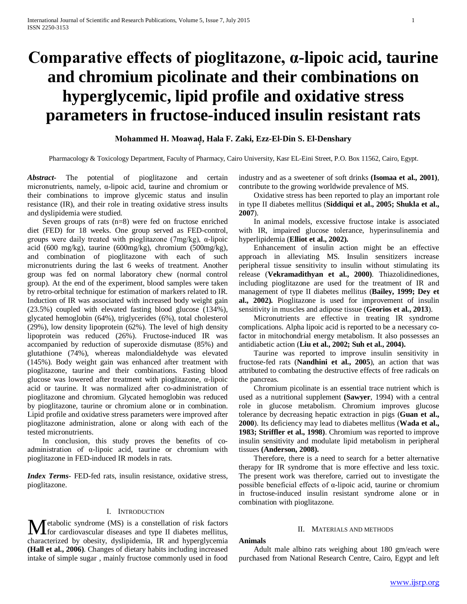# **Comparative effects of pioglitazone, α-lipoic acid, taurine and chromium picolinate and their combinations on hyperglycemic, lipid profile and oxidative stress parameters in fructose-induced insulin resistant rats**

## **Mohammed H. Moawad͙ ͙, Hala F. Zaki, Ezz-El-Din S. El-Denshary**

Pharmacology & Toxicology Department, Faculty of Pharmacy, Cairo University, Kasr EL-Eini Street, P.O. Box 11562, Cairo, Egypt.

*Abstract***-** The potential of pioglitazone and certain micronutrients, namely, α-lipoic acid, taurine and chromium or their combinations to improve glycemic status and insulin resistance (IR), and their role in treating oxidative stress insults and dyslipidemia were studied.

 Seven groups of rats (n=8) were fed on fructose enriched diet (FED) for 18 weeks. One group served as FED-control, groups were daily treated with pioglitazone (7mg/kg), α-lipoic acid (600 mg/kg), taurine (600mg/kg), chromium (500mg/kg), and combination of pioglitazone with each of such micronutrients during the last 6 weeks of treatment. Another group was fed on normal laboratory chew (normal control group). At the end of the experiment, blood samples were taken by retro-orbital technique for estimation of markers related to IR. Induction of IR was associated with increased body weight gain (23.5%) coupled with elevated fasting blood glucose (134%), glycated hemoglobin (64%), triglycerides (6%), total cholesterol (29%), low density lipoprotein (62%). The level of high density lipoprotein was reduced (26%). Fructose-induced IR was accompanied by reduction of superoxide dismutase (85%) and glutathione (74%), whereas malondialdehyde was elevated (145%). Body weight gain was enhanced after treatment with pioglitazone, taurine and their combinations. Fasting blood glucose was lowered after treatment with pioglitazone, α-lipoic acid or taurine. It was normalized after co-administration of pioglitazone and chromium. Glycated hemoglobin was reduced by pioglitazone, taurine or chromium alone or in combination. Lipid profile and oxidative stress parameters were improved after pioglitazone administration, alone or along with each of the tested micronutrients.

 In conclusion, this study proves the benefits of coadministration of α-lipoic acid, taurine or chromium with pioglitazone in FED-induced IR models in rats.

*Index Terms*- FED-fed rats, insulin resistance, oxidative stress, pioglitazone.

## I. INTRODUCTION

etabolic syndrome (MS) is a constellation of risk factors **M** etabolic syndrome (MS) is a constellation of risk factors for cardiovascular diseases and type II diabetes mellitus, characterized by obesity, dyslipidemia, IR and hyperglycemia **(Hall et al., 2006)**. Changes of dietary habits including increased intake of simple sugar , mainly fructose commonly used in food

industry and as a sweetener of soft drinks **(Isomaa et al., 2001)**, contribute to the growing worldwide prevalence of MS.

 Oxidative stress has been reported to play an important role in type II diabetes mellitus (**Siddiqui et al., 2005; Shukla et al., 2007**).

 In animal models, excessive fructose intake is associated with IR, impaired glucose tolerance, hyperinsulinemia and hyperlipidemia (**Elliot et al., 2002).** 

 Enhancement of insulin action might be an effective approach in alleviating MS. Insulin sensitizers increase peripheral tissue sensitivity to insulin without stimulating its release (**Vekramadithyan et al., 2000)**. Thiazolidinediones, including pioglitazone are used for the treatment of IR and management of type II diabetes mellitus (**Bailey, 1999; Dey et al., 2002).** Pioglitazone is used for improvement of insulin sensitivity in muscles and adipose tissue (**Georios et al., 2013**).

 Micronutrients are effective in treating IR syndrome complications. Alpha lipoic acid is reported to be a necessary cofactor in mitochondrial energy metabolism. It also possesses an antidiabetic action (**Liu et al., 2002; Suh et al., 2004).** 

 Taurine was reported to improve insulin sensitivity in fructose-fed rats (**Nandhini et al., 2005**), an action that was attributed to combating the destructive effects of free radicals on the pancreas.

 Chromium picolinate is an essential trace nutrient which is used as a nutritional supplement **(Sawyer**, 1994) with a central role in glucose metabolism. Chromium improves glucose tolerance by decreasing hepatic extraction in pigs (**Guan et al., 2000**). Its deficiency may lead to diabetes mellitus (**Wada et al., 1983; Striffler et al., 1998)**. Chromium was reported to improve insulin sensitivity and modulate lipid metabolism in peripheral tissues **(Anderson, 2008).**

 Therefore, there is a need to search for a better alternative therapy for IR syndrome that is more effective and less toxic. The present work was therefore, carried out to investigate the possible beneficial effects of α-lipoic acid, taurine or chromium in fructose-induced insulin resistant syndrome alone or in combination with pioglitazone.

#### II. MATERIALS AND METHODS

#### **Animals**

 Adult male albino rats weighing about 180 gm/each were purchased from National Research Centre, Cairo, Egypt and left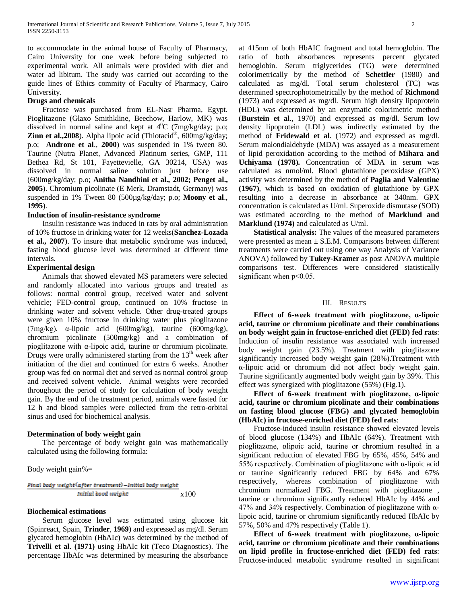to accommodate in the animal house of Faculty of Pharmacy, Cairo University for one week before being subjected to experimental work. All animals were provided with diet and water ad libitum. The study was carried out according to the guide lines of Ethics commity of Faculty of Pharmacy, Cairo University.

#### **Drugs and chemicals**

 Fructose was purchased from EL-Nasr Pharma, Egypt. Pioglitazone (Glaxo Smithkline, Beechow, Harlow, MK) was dissolved in normal saline and kept at  $4^{\circ}$ C (7mg/kg/day; p.o; **Zinn et al.,2008**). Alpha lipoic acid (Thiotacid®, 600mg/kg/day; p.o; **Androne et al**., **2000**) was suspended in 1% tween 80. Taurine (Nutra Planet, Advanced Platinum series, GMP, 111 Bethea Rd, St 101, Fayettevielle, GA 30214, USA) was dissolved in normal saline solution just before use (600mg/kg/day; p.o; **Anitha Nandhini et al., 2002; Penget al., 2005**). Chromium picolinate (E Merk, Dramstadt, Germany) was suspended in 1% Tween 80 (500µg/kg/day; p.o; **Moony et al**., **1995**).

#### **Induction of insulin-resistance syndrome**

 Insulin resistance was induced in rats by oral administration of 10% fructose in drinking water for 12 weeks(**Sanchez-Lozada et al., 2007**). To insure that metabolic syndrome was induced, fasting blood glucose level was determined at different time intervals.

## **Experimental design**

 Animals that showed elevated MS parameters were selected and randomly allocated into various groups and treated as follows: normal control group, received water and solvent vehicle; FED-control group, continued on 10% fructose in drinking water and solvent vehicle. Other drug-treated groups were given 10% fructose in drinking water plus pioglitazone (7mg/kg), α-lipoic acid (600mg/kg), taurine (600mg/kg), chromium picolinate (500mg/kg) and a combination of pioglitazone with  $\alpha$ -lipoic acid, taurine or chromium picolinate. Drugs were orally administered starting from the  $13<sup>th</sup>$  week after initiation of the diet and continued for extra 6 weeks. Another group was fed on normal diet and served as normal control group and received solvent vehicle. Animal weights were recorded throughout the period of study for calculation of body weight gain. By the end of the treatment period, animals were fasted for 12 h and blood samples were collected from the retro-orbital sinus and used for biochemical analysis.

## **Determination of body weight gain**

 The percentage of body weight gain was mathematically calculated using the following formula:

Body weight gain%=

$$
\frac{Final\ body\ weight{a}fter\ treatment{)-Initial\ body\ weight}{initial\ body\ weight} \ \times 100
$$

## **Biochemical estimations**

 Serum glucose level was estimated using glucose kit (Spinreact, Spain, **Trinder**, **1969**) and expressed as mg/dl. Serum glycated hemoglobin (HbAIc) was determined by the method of **Trivelli et al**. **(1971)** using HbAIc kit (Teco Diagnostics). The percentage HbAIc was determined by measuring the absorbance at 415nm of both HbAIC fragment and total hemoglobin. The ratio of both absorbances represents percent glycated hemoglobin. Serum triglycerides (TG) were determined colorimetrically by the method of **Schettler** (1980) and calculated as mg/dl. Total serum cholesterol (TC) was determined spectrophotometrically by the method of **Richmond** (1973) and expressed as mg/dl. Serum high density lipoprotein (HDL) was determined by an enzymatic colorimetric method (**Burstein et al**., 1970) and expressed as mg/dl. Serum low density lipoprotein (LDL) was indirectly estimated by the method of **Fridewald et al**. (1972) and expressed as mg/dl. Serum malondialdehyde (MDA) was assayed as a measurement of lipid peroxidation according to the method of **Mihara and Uchiyama (1978).** Concentration of MDA in serum was calculated as nmol/ml. Blood glutathione peroxidase (GPX) activity was determined by the method of **Paglia and Valentine (1967)**, which is based on oxidation of glutathione by GPX resulting into a decrease in absorbance at 340nm. GPX concentration is calculated as U/ml. Superoxide dismutase (SOD) was estimated according to the method of **Marklund and Marklund (1974)** and calculated as U/ml.

 **Statistical analysis:** The values of the measured parameters were presented as mean  $\pm$  S.E.M. Comparisons between different treatments were carried out using one way Analysis of Variance ANOVA) followed by **Tukey-Kramer** as post ANOVA multiple comparisons test. Differences were considered statistically significant when  $p<0.05$ .

#### III. RESULTS

 **Effect of 6-week treatment with pioglitazone, α-lipoic acid, taurine or chromium picolinate and their combinations on body weight gain in fructose-enriched diet (FED) fed rats**: Induction of insulin resistance was associated with increased body weight gain (23.5%). Treatment with pioglitazone significantly increased body weight gain (28%).Treatment with α-lipoic acid or chromium did not affect body weight gain. Taurine significantly augmented body weight gain by 39%. This effect was synergized with pioglitazone (55%) (Fig.1).

 **Effect of 6-week treatment with pioglitazone, α-lipoic acid, taurine or chromium picolinate and their combinations on fasting blood glucose (FBG) and glycated hemoglobin (HbAIc) in fructose-enriched diet (FED) fed rats**:

 Fructose-induced insulin resistance showed elevated levels of blood glucose (134%) and HbAIc (64%). Treatment with pioglitazone, αlipoic acid, taurine or chromium resulted in a significant reduction of elevated FBG by 65%, 45%, 54% and 55% respectively. Combination of pioglitazone with α-lipoic acid or taurine significantly reduced FBG by 64% and 67% respectively, whereas combination of pioglitazone with chromium normalized FBG. Treatment with pioglitazone , taurine or chromium significantly reduced HbAIc by 44% and 47% and 34% respectively. Combination of pioglitazone with  $α$ lipoic acid, taurine or chromium significantly reduced HbAIc by 57%, 50% and 47% respectively (Table 1).

 **Effect of 6-week treatment with pioglitazone, α-lipoic acid, taurine or chromium picolinate and their combinations on lipid profile in fructose-enriched diet (FED) fed rats**: Fructose-induced metabolic syndrome resulted in significant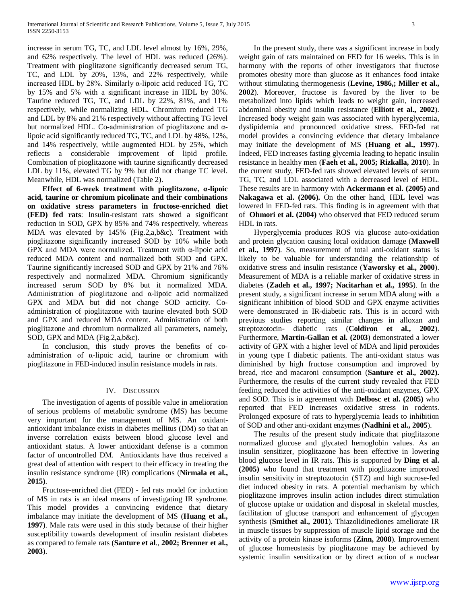increase in serum TG, TC, and LDL level almost by 16%, 29%, and 62% respectively. The level of HDL was reduced (26%). Treatment with pioglitazone significantly decreased serum TG, TC, and LDL by 20%, 13%, and 22% respectively, while increased HDL by 28%. Similarly α-lipoic acid reduced TG, TC by 15% and 5% with a significant increase in HDL by 30%. Taurine reduced TG, TC, and LDL by 22%, 81%, and 11% respectively, while normalizing HDL. Chromium reduced TG and LDL by 8% and 21% respectively without affecting TG level but normalized HDL. Co-administration of pioglitazone and αlipoic acid significantly reduced TG, TC, and LDL by 48%, 12%, and 14% respectively, while augmented HDL by 25%, which reflects a considerable improvement of lipid profile. Combination of pioglitazone with taurine significantly decreased LDL by 11%, elevated TG by 9% but did not change TC level. Meanwhile, HDL was normalized (Table 2).

 **Effect of 6-week treatment with pioglitazone, α-lipoic acid, taurine or chromium picolinate and their combinations on oxidative stress parameters in fructose-enriched diet (FED) fed rats**: Insulin-resistant rats showed a significant reduction in SOD, GPX by 85% and 74% respectively, whereas MDA was elevated by 145% (Fig.2,a,b&c). Treatment with pioglitazone significantly increased SOD by 10% while both GPX and MDA were normalized. Treatment with α-lipoic acid reduced MDA content and normalized both SOD and GPX. Taurine significantly increased SOD and GPX by 21% and 76% respectively and normalized MDA. Chromium significantly increased serum SOD by 8% but it normalized MDA. Administration of pioglitazone and α-lipoic acid normalized GPX and MDA but did not change SOD acticity. Coadministration of pioglitazone with taurine elevated both SOD and GPX and reduced MDA content. Administration of both pioglitazone and chromium normalized all parameters, namely, SOD, GPX and MDA (Fig.2,a,b&c).

 In conclusion, this study proves the benefits of coadministration of α-lipoic acid, taurine or chromium with pioglitazone in FED-induced insulin resistance models in rats.

#### IV. DISCUSSION

 The investigation of agents of possible value in amelioration of serious problems of metabolic syndrome (MS) has become very important for the management of MS. An oxidantantioxidant imbalance exists in diabetes mellitus (DM) so that an inverse correlation exists between blood glucose level and antioxidant status. A lower antioxidant defense is a common factor of uncontrolled DM. Antioxidants have thus received a great deal of attention with respect to their efficacy in treating the insulin resistance syndrome (IR) complications (**Nirmala et al., 2015)**.

 Fructose-enriched diet (FED) - fed rats model for induction of MS in rats is an ideal means of investigating IR syndrome. This model provides a convincing evidence that dietary imbalance may initiate the development of MS (**Huang et al., 1997**). Male rats were used in this study because of their higher susceptibility towards development of insulin resistant diabetes as compared to female rats (**Santure et al**., **2002; Brenner et al., 2003**).

 In the present study, there was a significant increase in body weight gain of rats maintained on FED for 16 weeks. This is in harmony with the reports of other investigators that fructose promotes obesity more than glucose as it enhances food intake without stimulating thermogenesis (**Levine, 1986,; Miller et al., 2002**). Moreover, fructose is favored by the liver to be metabolized into lipids which leads to weight gain, increased abdominal obesity and insulin resistance (**Elliott et al., 2002**). Increased body weight gain was associated with hyperglycemia, dyslipidemia and pronounced oxidative stress. FED-fed rat model provides a convincing evidence that dietary imbalance may initiate the development of MS (**Huang et al., 1997**). Indeed, FED increases fasting glycemia leading to hepatic insulin resistance in healthy men (**Faeh et al., 2005; Rizkalla, 2010**). In the current study, FED-fed rats showed elevated levels of serum TG, TC, and LDL associated with a decreased level of HDL. These results are in harmony with **Ackermann et al. (2005)** and **Nakagawa et al. (2006).** On the other hand, HDL level was lowered in FED-fed rats. This finding is in agreement with that of **Ohmori et al. (2004)** who observed that FED reduced serum HDL in rats.

 Hyperglycemia produces ROS via glucose auto-oxidation and protein glycation causing local oxidation damage (**Maxwell et al., 1997**). So, measurement of total anti-oxidant status is likely to be valuable for understanding the relationship of oxidative stress and insulin resistance (**Yaworsky et al., 2000**). Measurement of MDA is a reliable marker of oxidative stress in diabetes (**Zadeh et al., 1997; Nacitarhan et al., 1995**). In the present study, a significant increase in serum MDA along with a significant inhibition of blood SOD and GPX enzyme activities were demonstrated in IR-diabetic rats. This is in accord with previous studies reporting similar changes in alloxan and streptozotocin- diabetic rats (**Coldiron et al., 2002**). Furthermore, **Martin-Gallan et al. (2003**) demonstrated a lower activity of GPX with a higher level of MDA and lipid peroxides in young type I diabetic patients. The anti-oxidant status was diminished by high fructose consumption and improved by bread, rice and macaroni consumption (**Santure et al., 2002).**  Furthermore, the results of the current study revealed that FED feeding reduced the activities of the anti-oxidant enzymes, GPX and SOD. This is in agreement with **Delbosc et al. (2005)** who reported that FED increases oxidative stress in rodents. Prolonged exposure of rats to hyperglycemia leads to inhibition of SOD and other anti-oxidant enzymes (**Nadhini et al., 2005**).

 The results of the present study indicate that pioglitazone normalized glucose and glycated hemoglobin values. As an insulin sensitizer, pioglitazone has been effective in lowering blood glucose level in IR rats. This is supported by **Ding et al. (2005)** who found that treatment with pioglitazone improved insulin sensitivity in streptozotocin (STZ) and high sucrose-fed diet induced obesity in rats. A potential mechanism by which pioglitazone improves insulin action includes direct stimulation of glucose uptake or oxidation and disposal in skeletal muscles, facilitation of glucose transport and enhancement of glycogen synthesis (**Smithet al., 2001**). Thiazolidinediones ameliorate IR in muscle tissues by suppression of muscle lipid storage and the activity of a protein kinase isoforms (**Zinn, 2008**). Improvement of glucose homeostasis by pioglitazone may be achieved by systemic insulin sensitization or by direct action of a nuclear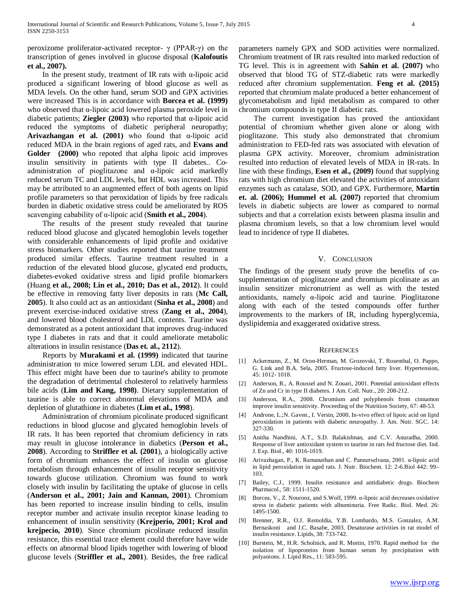peroxizome proliferator-activated receptor- γ (PPAR-γ) on the transcription of genes involved in glucose disposal (**Kalofoutis et al., 2007).**

 In the present study, treatment of IR rats with α-lipoic acid produced a significant lowering of blood glucose as well as MDA levels. On the other hand, serum SOD and GPX activities were increased This is in accordance with **Borcea et al. (1999)**  who observed that  $\alpha$ -lipoic acid lowered plasma peroxide level in diabetic patients; **Ziegler (2003)** who reported that α-lipoic acid reduced the symptoms of diabetic peripheral neuropathy; **Arivazhangan et al. (2001)** who found that α-lipoic acid reduced MDA in the brain regions of aged rats, and **Evans and Golder (2000)** who repoted that alpha lipoic acid improves insulin sensitivity in patients with type II dabetes.. Coadministration of pioglitazone and α-lipoic acid markedly reduced serum TC and LDL levels, but HDL was increased. This may be attributed to an augmented effect of both agents on lipid profile parameters so that peroxidation of lipids by free radicals burden in diabetic oxidative stress could be ameliorated by ROS scavenging cabability of α-lipoic acid (**Smith et al., 2004**).

 The results of the present study revealed that taurine reduced blood glucose and glycated hemoglobin levels together with considerable enhancements of lipid profile and oxidative stress biomarkers. Other studies reported that taurine treatment produced similar effects. Taurine treatment resulted in a reduction of the elevated blood glucose, glycated end products, diabetes-evoked oxidative stress and lipid profile biomarkers (Huang **et al., 2008; Lin et al., 2010; Das et al., 2012**). It could be effective in removing fatty liver deposits in rats (**Mc Call, 2005**). It also could act as an antioxidant (**Sinha et al., 2008**) and prevent exercise-induced oxidative stress (**Zang et al., 2004**), and lowered blood cholesterol and LDL contents. Taurine was demonstrated as a potent antioxidant that improves drug-induced type I diabetes in rats and that it could ameliorate metabolic alterations in insulin resistance (**Das et. al., 2112**).

 Reports by **Murakami et al. (1999)** indicated that taurine administration to mice lowered serum LDL and elevated HDL. This effect might have been due to taurine's ability to promote the degradation of detrimental cholesterol to relatively harmless bile acids (**Lim and Kang, 1998)**. Dietary supplementation of taurine is able to correct abnormal elevations of MDA and depletion of glutathione in diabetes (**Lim et al., 1998**).

 Administration of chromium picolinate produced significant reductions in blood glucose and glycated hemoglobin levels of IR rats. It has been reported that chromium deficiency in rats may result in glucose intolerance in diabetics (**Person et al., 2008**). According to **Striffler et al. (2001**), a biologically active form of chromium enhances the effect of insulin on glucose metabolism through enhancement of insulin receptor sensitivity towards glucose utilization. Chromium was found to work closely with insulin by facilitating the uptake of glucose in cells (**Anderson et al., 2001; Jain and Kannan, 2001**). Chromium has been reported to increase insulin binding to cells, insulin receptor number and activate insulin receptor kinase leading to enhancement of insulin sensitivity (**Krejperio, 2001; Krol and krejpecio, 2010**). Since chromium picolinate reduced insulin resistance, this essential trace element could therefore have wide effects on abnormal blood lipids together with lowering of blood glucose levels (**Striffler et al., 2001**). Besides, the free radical parameters namely GPX and SOD activities were normalized. Chromium treatment of IR rats resulted into marked reduction of TG level. This is in agreement with **Sahin et al. (2007)** who observed that blood TG of STZ-diabetic rats were markedly reduced after chromium supplementation. **Feng et al. (2015)** reported that chromium malate produced a better enhancement of glycometabolism and lipid metabolism as compared to other chromium compounds in type II diabetic rats.

 The current investigation has proved the antioxidant potential of chromium whether given alone or along with pioglitazone. This study also demonstrated that chromium administration to FED-fed rats was associated with elevation of plasma GPX activity. Moreover, chromium administration resulted into reduction of elevated levels of MDA in IR-rats. In line with these findings, **Esen et al., (2009)** found that supplying rats with high chromium diet elevated the activities of antoxidant enzymes such as catalase, SOD, and GPX. Furthermore, **Martin et. al. (2006); Hummel et al. (2007)** reported that chromium levels in diabetic subjects are lower as compared to normal subjects and that a correlation exists between plasma insulin and plasma chromium levels, so that a low chromium level would lead to incidence of type II diabetes.

#### V. CONCLUSION

The findings of the present study prove the benefits of cosupplementation of pioglitazone and chromium picolinate as an insulin sensitizer micronutrient as well as with the tested antioxidants, namely α-lipoic acid and taurine. Pioglitazone along with each of the tested compounds offer further improvements to the markers of IR, including hyperglycemia, dyslipidemia and exaggerated oxidative stress.

#### **REFERENCES**

- [1] Ackermann, Z., M. Oron-Herman, M. Grozovski, T. Rosenthal, O. Pappo, G. Link and B.A. Sela, 2005. Fructose-induced fatty liver. Hypertension, 45: 1012- 1018.
- [2] Anderson, R., A. Roussel and N. Zouari, 2001. Potential antioxidant effects of Zn and Cr in type II diabetes. J Am. Coll. Nutr., 20: 208-212.
- [3] Anderson, R.A., 2008. Chromium and polyphenols from cinnamon improve insulin sensitivity. Proceeding of the Nutrition Society, 67: 48-53.
- [4] Androne, L.;N. Gaven., I. Versin, 2000. In-vivo effect of lipoic acid on lipid peroxidation in patients with diabetic neuropathy. J. Am. Nutr. SGC. 14: 327-330.
- [5] Anitha Nandhini, A.T., S.D. Balakishnan, and C.V. Anuradha, 2000. Response of liver antioxidant system to taurine in rats fed fructose diet. Ind. J. Exp. Biol., 40: 1016-1019.
- [6] Arivazhagan, P., K. Ramanathan and C. Pannerselvana, 2001. α-lipoic acid in lipid peroxidation in aged rats. J. Nutr. Biochem. 12: 2-6.Biol 442: 99– 103.
- [7] Bailey, C.J., 1999. Insulin resistance and antidiabetic drugs. Biochem Pharmacol., 58: 1511-1520.
- [8] Borcea, V., Z. Nourooz, and S.Wolf, 1999. α-lipoic acid decreases oxidative stress in diabetic patients with albuminuria. Free Radic. Biol. Med. 26: 1495-1500.
- [9] Brenner, R.R., O.J. Remoldia, Y.B. Lombardo, M.S. Gonzalez, A.M. Bernaskoni and J.C. Basabe, 2003. Desaturase activities in rat model of insulin resistance. Lipids, 38: 733-742.
- [10] Burstein, M., H.R. Scholnick, and R. Mortin, 1970. Rapid method for the isolation of lipoproteins from human serum by precipitation with polyanions. J. Lipid Res., 11: 583-595.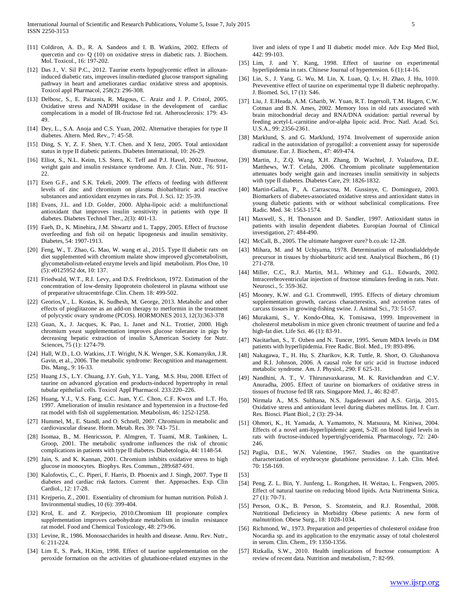- [11] Coldiron, A. D., R. A. Sandeos and I. B. Watkins, 2002. Effects of quercetin and co- Q (10) on oxidative stress in diabetic rats. J. Biochem. Mol. Toxicol., 16: 197-202.
- [12] Das J., V. Sil P.C., 2012. Taurine exerts hypoglycemic effect in alloxaninduced diabetic rats, improves insulin-mediated glucose transport signaling pathway in heart and ameliorates cardiac oxidative stress and apoptosis. Toxicol appl Pharmacol, 258(2): 296-308.
- [13] Delbosc, S., E. Paizanis, R. Magous, C. Araiz and J. P. Cristol, 2005. Oxidative stress and NADPH oxidase in the development of cardiac complecations in a model of IR-fructose fed rat. Atherosclerosis: 179: 43- 49.
- [14] Dey, L., S.A. Anoja and C.S. Yuan, 2002. Alternative therapies for type II diabetes. Altern. Med. Rev., 7: 45-58.
- [15] Ding, S. Y, Z. F. Shen, Y.T. Chen. and X Ienz, 2005. Total antioxidant status in type II diabetic patients. Diabetes International, 10: 26-29.
- [16] Elliot, S., N.L. Keim, I.S. Stern, K. Teff and P.J. Havel, 2002. Fructose, weight gain and insulin resistance syndrome. Am. J. Clin. Nutr., 76: 911- 22.
- [17] Esen G.F., and S.K. Tekeli, 2009. The effects of feeding with different levels of zinc and chromium on plasma thiobarbituric acid reactive substances and antioxidant enzymes in rats. Pol. J. Sci. 12: 35-39.
- [18] Evans, J.L. and I.D. Golder, 2000. Alpha-lipoic acid: a multifunctional antioxidant that improves insulin sensitivity in patients with type II diabetes. Diabetes Technol Ther., 2(3): 401-13.
- [19] Faeh, D., K. Minehira, J.M. Shwartz and L. Tappy, 2005. Effect of fructose overfeeding and fish oil on hepatic lipogenesis and insulin sensitivity. Diabetes, 54: 1907-1913.
- [20] Feng, W., T. Zhao, G. Mao, W. wang et al., 2015. Type II diabetic rats on diet supplemented with chromium malate show improved glycometabolism, glycometabolism-related enzyme levels and lipid metabolism. Plos One, 10 (5): e0125952 dot, 10: 137.
- [21] Friedwald, W.T., R.I. Levy, and D.S. Fredrickson, 1972. Estimation of the concentration of low-density lipoprotein cholesterol in plasma without use of preparative ultracentrifuge. Clin. Chem. 18: 499-502.
- [22] Georios,V., L. Kostas, K. Sudhesh, M. George, 2013. Metabolic and other effects of pioglitazone as an add-on therapy to metformin in the treatment of polycystic ovary syndrome (PCOS). HORMONES 2013, 12(3):363-378
- [23] Guan, X., J. Jacques, K. Pao, L. Janet and N.L. Trottier, 2000. High chromium yeast supplementation improves glucose tolerance in pigs by decreasing hepatic extraction of insulin S,American Society for Nutr. Sciences, 75 (1): 1274-79.
- [24] Hall, W.D., L.O. Watkins, J.T. Wright, N.K. Wenger, S.K. Komanyikn, J.R. Gavin, et al., 2006. The metabolic syndrome: Recognition and management. Dis. Mang., 9: 16-33.
- [25] Huang J.S., L.Y. Chuang, J.Y. Guh, Y.L. Yang, M.S. Hsu, 2008. Effect of taurine on advanced glycation end products-induced hypertrophy in renal tubular epithelial cells. Toxicol Appl Pharmacol. 233:220–226.
- [26] Huang, Y.J., V.S. Fang, C.C. Juan, Y.C. Chon, C.F. Kwox and L.T. Ho, 1997. Amelioration of insulin resistance and hypertension in a fructose-fed rat model with fish oil supplementation. Metabolism, 46: 1252-1258.
- [27] Hummel, M., E. Standl, and O. Schnell, 2007. Chromium in metabolic and cardiovascular disease. Horm. Metab. Res. 39: 743- 751.
- [28] Isomaa, B., M. Henricsson, P. Almgren, T. Tuami, M.R. Tankinen, L. Groop, 2001. The metabolic syndrome influences the risk of chronic complications in patients with type II diabetes. Diabetologia, 44: 1148-54.
- [29] Jain, S. and K. Kannan, 2001. Chromium inhibits oxidative stress to high glucose in monocytes. Biophys. Res. Commun., 289:687-691.
- [30] Kalofovtis, C., C. Piperi, F. Harris, D. Phoenix and J. Singh, 2007. Type II diabetes and cardiac risk factors. Current ther. Approaches. Exp. Clin Cardiol., 12: 17-28.
- [31] Krejperio, Z., 2001. Essentiality of chromium for human nutrition. Polish J. Invironmental studies, 10 (6): 399-404.
- [32] Krol, E. and Z. Krejpecio, 2010.Chromium III propionate complex supplementation improves caebohydrate metabolism in insulin resistance rat model. Food and Chemical Toxicology, 48: 279-96.
- [33] Levine, R., 1986. Monosaccharides in health and disease. Annu. Rev. Nutr., 6: 211-224.
- [34] Lim E, S. Park, H.Kim, 1998. Effect of taurine supplementation on the peroxide formation on the activities of glutathione-related enzymes in the

liver and islets of type I and II diabetic model mice. Adv Exp Med Biol, 442: 99-103.

- [35] Lim, J. and Y. Kang, 1998. Effect of taurine on experimental hyperlipidemia in rats. Chinese Journal of hypertension. 6 (1):14-16.
- [36] Lin, S., J. Yang, G. Wu, M. Lin, X. Luan, O. Lv, H. Zhao, J. Hu, 1010. Preveventive effect of taurine on experimental type II diabetic nephropathy. J. Biomed. Sci, 17 (1): S46.
- [37] Liu, J. E.Heada, A.M. Gharib, W. Yuan, R.T. Ingersoll, T.M. Hagen, C.W. Cotman and B.N. Ames, 2002. Memory loss in old rats associated with brain mitochondrial decay and RNA/DNA oxidation: partial reversal by feeding acetyl-L-carnitine and/or-alpha lipoic acid. Proc. Natl. Acad. Sci. U.S.A., 99: 2356-2361.
- [38] Marklund, S. and G. Marklund, 1974. Involvement of superoxide anion radical in the autoxidation of pyrogallol: a convenient assay for superoxide dismutase. Eur. J. Biochem., 47: 469-474.
- [39] Martin, J., Z.Q. Wang, X.H. Zhang, D. Wachtel, J. Volaufova, D.E. Matthews, W.T. Cefalu, 2006. Chromium picolinate supplementation attenuates body weight gain and increases insulin sensitivity in subjects with type II diabetes. Diabetes Care, 29: 1826-1832.
- [40] Martin-Gallan, P., A. Carrascosa, M. Gussinye, C. Dominguez, 2003. Biomarkers of diabetes-associated oxidative stress and antioxidant status in young diabetic patients with or without subclinical complications. Free Radic. Med. 34: 1563-1574.
- [41] Maxwell, S., H. Thonason and D. Sandler, 1997. Antioxidant status in patients with insulin dependent diabetes. Europian Journal of Clinical investigation, 27: 484-490.
- [42] McCall, B., 2005. The ultimate hangover cure? b.co.uk: 12-28.
- [43] Mihara, M. and M Uchiyama, 1978. Determination of malondialdehyde precursor in tissues by thiobarbituric acid test. Analytical Biochem., 86 (1) 271-278.
- [44] Miller, C.C., R.J. Martin, M.L. Whitney and G.L. Edwards, 2002. Intracerebroventricular injection of fructose stimulates feeding in rats. Nutr. Neurosci., 5: 359-362.
- [45] Mooney, K.W. and G.I. Crommwell, 1995. Effects of dietary chromium supplementation growth, carcass characterestics, and accretion rates of carcass tissues in growing-fishing swine. J. Animal Sci., 73: 51-57.
- [46] Murakami, S., Y. Kondo-Ohta, K. Tomisawa, 1999. Improvement in cholesterol metabolism in mice given chronic treatment of taurine and fed a high-fat diet. Life Sci. 46 (1): 83-91.
- [47] Nacitarhan, S., T. Ozben and N. Tuncer, 1995. Serum MDA levels in DM patients with hyperlipidemia. Free Radic. Biol. Med., 19: 893-896.
- [48] Nakagawa, T., H. Hu, S. Zharikov, K.R. Tuttle, R. Short, O. Glushanova and R.I. Johnson, 2006. A causal role for uric acid in fructose induced metabolic syndrome. Am. J. Physiol., 290: F 625-31.
- [49] Nandhini, A. T., V. Thirunavaxkarasu, M. K. Ravichandran and C.V. Anuradha, 2005. Effect of taurine on biomarkers of oxidative stress in tissues of fructose fed IR rats. Singapore Med. J., 46: 82-87.
- [50] Nirmala A., M.S. Sulthana, N.S. Jagadeswari and A.S. Girija, 2015. Oxidative stress and antioxidant level during diabetes mellitus. Int. J. Curr. Res. Biosci. Plant Biol., 2 (3): 29-34.
- [51] Ohmori, K., H. Yamada, A. Yamamoto, N. Matsuura, M. Kiniwa, 2004. Effects of a novel anti-hyperlipidemic agent, S-2E on blood lipid levels in rats with fructose-induced hypertriglyceridemia. Pharmacology, 72: 240- 246.
- [52] Paglia, D.E., W.N. Valentine, 1967. Studies on the quantitative characterization of erythrocyte glutathione peroxidase. J. Lab. Clin. Med. 70: 158-169.
- [53]
- [54] Peng, Z. L. Bin, Y. Junfeng, L. Rongzhen, H. Weitao, L. Fengwen, 2005. Effect of natural taurine on reducing blood lipids. Acta Nutrimenta Sinica, 27 (1): 70-71.
- [55] Person, O.K., B. Person, S. Szomstein, and R.J. Rosenthal, 2008. Nutritional Deficiency in Morbidity Obese patients: A new form of malnutrition. Obese Surg., 18: 1028-1034.
- [56] Richmond, W., 1973. Preparation and properties of cholesterol oxidase fron Nocardia sp. and its application to the enzymatic assay of total cholesterol in serum. Clin. Chem., 19: 1350-1356.
- [57] Rizkalla, S.W., 2010. Health implications of fructose consumption: A review of recent data. Nutrition and metabolism, 7: 82-99.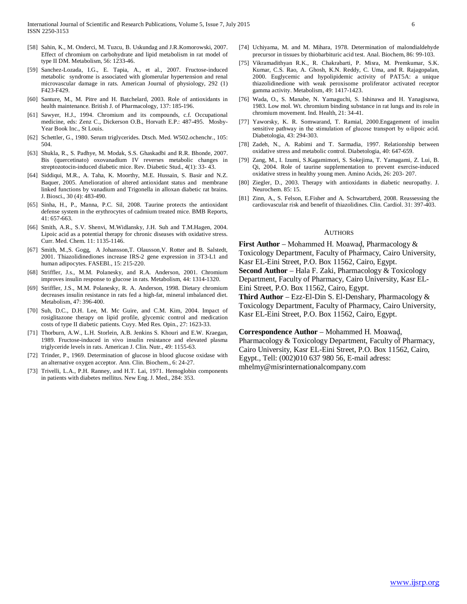- [58] Sahin, K., M. Onderci, M. Tuzcu, B. Uskundag and J.R.Komorowski, 2007. Effect of chromium on carbohydrate and lipid metabolism in rat model of type II DM. Metabolism, 56: 1233-46.
- [59] Sanchez-Lozada, I.G., E. Tapia, A., et al., 2007. Fructose-induced metabolic syndrome is associated with glomerular hypertension and renal microvascular damage in rats. American Journal of physiology, 292 (1) F423-F429.
- [60] Santure, M., M. Pitre and H. Batchelard, 2003. Role of antioxidants in health maintenance. British J. of Pharmacology, 137: 185-196.
- [61] Sawyer, H.J., 1994. Chromium and its compounds, c.f. Occupational medicine, eds: Zenz C., Dickerson O.B., Horvath E.P.: 487-495. Mosby-Year Book Inc., St Louis.
- [62] Schettler, G., 1980. Serum triglycerides. Dtsch. Med. W502.ochenchr., 105: 504.
- [63] Shukla, R., S. Padhye, M. Modak, S.S. Ghaskadbi and R.R. Bhonde, 2007. Bis (quercetinato) oxovanadium IV reverses metabolic changes in streptozotocin-induced diabetic mice. Rev. Diabetic Stud., 4(1): 33- 43.
- [64] Siddiqui, M.R., A. Taha, K. Moorthy, M.E. Hussain, S. Basir and N.Z. Baquer, 2005. Amelioration of altered antioxidant status and membrane linked functions by vanadium and Trigonella in alloxan diabetic rat brains. J. Biosci., 30 (4): 483-490.
- [65] Sinha, H., P., Manna, P.C. Sil, 2008. Taurine protects the antioxidant defense system in the erythrocytes of cadmium treated mice. BMB Reports, 41: 657-663.
- [66] Smith, A.R., S.V. Shenvi, M.Widlansky, J.H. Suh and T.M.Hagen, 2004. Lipoic acid as a potential therapy for chronic diseases with oxidative stress. Curr. Med. Chem. 11: 1135-1146.
- [67] Smith, M., S. Gogg, A Johansson, T. Olausson, V. Rotter and B. Salstedt, 2001. Thiazolidinediones increase IRS-2 gene expression in 3T3-L1 and human adipocytes. FASEBI., 15: 215-220.
- [68] Striffler, J.s., M.M. Polanesky, and R.A. Anderson, 2001. Chromium improves insulin response to glucose in rats. Metabolism, 44: 1314-1320.
- [69] Striffler, J.S., M.M. Polanesky, R. A. Anderson, 1998. Dietary chromium decreases insulin resistance in rats fed a high-fat, mineral imbalanced diet. Metabolism, 47: 396-400.
- [70] Suh, D.C., D.H. Lee, M. Mc Guire, and C.M. Kim, 2004. Impact of rosiglitazone therapy on lipid profile, glycemic control and medication costs of type II diabetic patients. Cuyy. Med Res. Opin., 27: 1623-33.
- [71] Thorburn, A.W., L.H. Storlein, A.B. Jenkins S. Khouri and E.W. Kraegan, 1989. Fructose-induced in vivo insulin resistance and elevated plasma triglyceride levels in rats. American J. Clin. Nutr., 49: 1155-63.
- [72] Trinder, P., 1969. Determination of glucose in blood glucose oxidase with an alternative oxygen acceptor. Ann. Clin. Biochem., 6: 24-27.
- [73] Trivelli, L.A., P.H. Ranney, and H.T. Lai, 1971. Hemoglobin components in patients with diabetes mellitus. New Eng. J. Med., 284: 353.
- [74] Uchiyama, M. and M. Mihara, 1978. Determination of malondialdehyde precursor in tissues by thiobarbituric acid test. Anal. Biochem, 86: 99-103.
- [75] Vikramadithyan R.K., R. Chakrabarti, P. Misra, M. Premkumar, S.K. Kumar, C.S. Rao, A. Ghosh, K.N. Reddy, C. Uma, and R. Rajagopalan, 2000. Euglycemic and hypolipidemic activity of PAT5A: a unique thiazolidinedione with weak peroxisome proliferator activated receptor gamma activity. Metabolism, 49: 1417-1423.
- [76] Wada, O., S. Manabe, N. Yamaguchi, S. Ishinawa and H. Yanagisawa, 1983. Low mol. Wt. chromium binding substance in rat lungs and its role in chromium movement. Ind. Health, 21: 34-41.
- [77] Yaworsky, K. R. Somwarand, T. Ramial, 2000.Engagement of insulin sensitive pathway in the stimulation of glucose transport by α-lipoic acid. Diabetologia, 43: 294-303.
- [78] Zadeh, N., A. Rabimi and T. Sarmadia, 1997. Relationship between oxidative stress and metabolic control. Diabetologia, 40: 647-659.
- [79] Zang, M., I. Izumi, S.Kagamimori, S. Sokejima, T. Yamagami, Z. Lui, B. Qi, 2004. Role of taurine supplementation to prevent exercise-induced oxidative stress in healthy young men. Amino Acids, 26: 203- 207.
- [80] Ziegler, D., 2003. Therapy with antioxidants in diabetic neuropathy. J. Neurochem. 85: 15.
- [81] Zinn, A., S. Felson, E.Fisher and A. Schwartzberd, 2008. Reassessing the cardiovascular risk and benefit of thiazolidines. Clin. Cardiol. 31: 397-403.

#### **AUTHORS**

**First Author** – Mohammed H. Moawad, Pharmacology & Toxicology Department, Faculty of Pharmacy, Cairo University, Kasr EL-Eini Street, P.O. Box 11562, Cairo, Egypt. **Second Author** – Hala F. Zaki, Pharmacology & Toxicology Department, Faculty of Pharmacy, Cairo University, Kasr EL-Eini Street, P.O. Box 11562, Cairo, Egypt. **Third Author** – Ezz-El-Din S. El-Denshary, Pharmacology &

Toxicology Department, Faculty of Pharmacy, Cairo University, Kasr EL-Eini Street, P.O. Box 11562, Cairo, Egypt.

Correspondence Author – Mohammed H. Moawad, Pharmacology & Toxicology Department, Faculty of Pharmacy, Cairo University, Kasr EL-Eini Street, P.O. Box 11562, Cairo, Egypt., Tell: (002)010 637 980 56, E-mail adress: mhelmy@misrinternationalcompany.com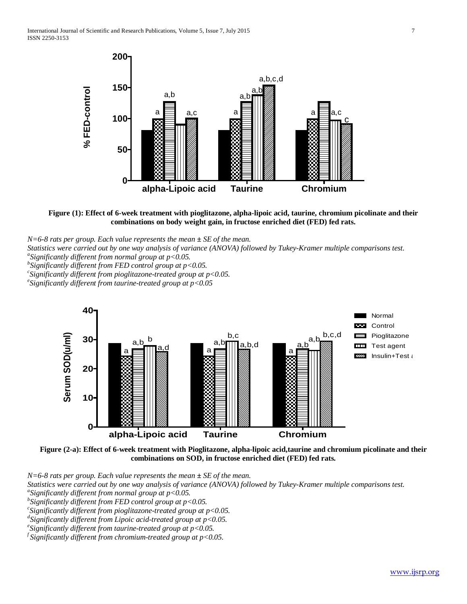

**Figure (1): Effect of 6-week treatment with pioglitazone, alpha-lipoic acid, taurine, chromium picolinate and their combinations on body weight gain, in fructose enriched diet (FED) fed rats.**

*N=6-8 rats per group. Each value represents the mean ± SE of the mean.*

*Statistics were carried out by one way analysis of variance (ANOVA) followed by Tukey-Kramer multiple comparisons test. <sup>a</sup>*

*Significantly different from normal group at p<0.05.*

*b Significantly different from FED control group at p<0.05.*

*c Significantly different from pioglitazone-treated group at p<0.05. <sup>e</sup>*

*Significantly different from taurine-treated group at p<0.05*



**Figure (2-a): Effect of 6-week treatment with Pioglitazone, alpha-lipoic acid,taurine and chromium picolinate and their combinations on SOD, in fructose enriched diet (FED) fed rats.**

*N=6-8 rats per group. Each value represents the mean ± SE of the mean.*

*Statistics were carried out by one way analysis of variance (ANOVA) followed by Tukey-Kramer multiple comparisons test. <sup>a</sup>*

*Significantly different from normal group at p<0.05.*

*b Significantly different from FED control group at p<0.05.*

*c Significantly different from pioglitazone-treated group at p<0.05.*

*d Significantly different from Lipoic acid-treated group at p<0.05. <sup>e</sup>*

*Significantly different from taurine-treated group at p<0.05.*

*f Significantly different from chromium-treated group at p<0.05.*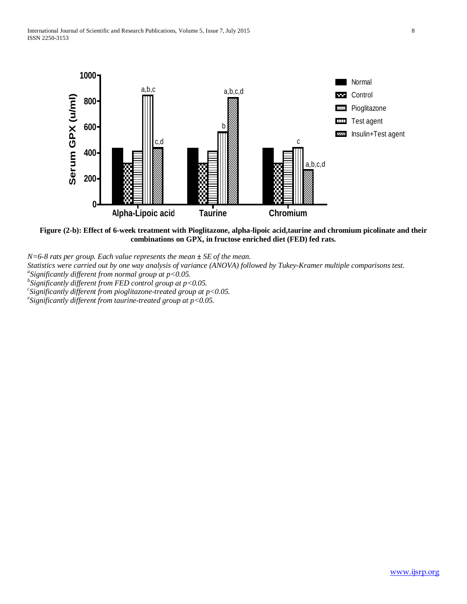

**Figure (2-b): Effect of 6-week treatment with Pioglitazone, alpha-lipoic acid,taurine and chromium picolinate and their combinations on GPX, in fructose enriched diet (FED) fed rats.**

*N=6-8 rats per group. Each value represents the mean ± SE of the mean.*

*Statistics were carried out by one way analysis of variance (ANOVA) followed by Tukey-Kramer multiple comparisons test. <sup>a</sup>*

*Significantly different from normal group at p<0.05.*

*b Significantly different from FED control group at p<0.05.*

*c Significantly different from pioglitazone-treated group at p<0.05. <sup>e</sup>*

*Significantly different from taurine-treated group at p<0.05.*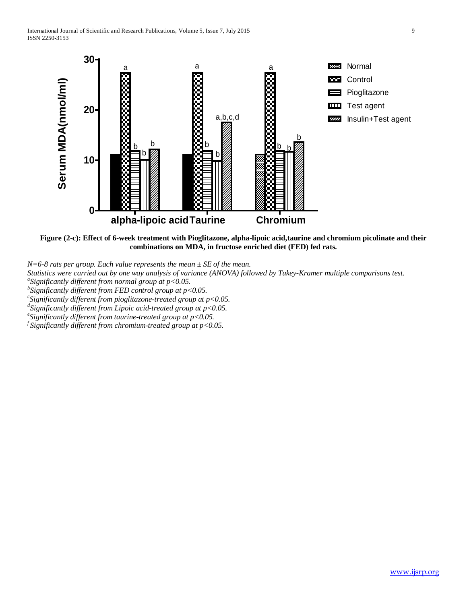

**Figure (2-c): Effect of 6-week treatment with Pioglitazone, alpha-lipoic acid,taurine and chromium picolinate and their combinations on MDA, in fructose enriched diet (FED) fed rats.**

*N=6-8 rats per group. Each value represents the mean ± SE of the mean.*

*Statistics were carried out by one way analysis of variance (ANOVA) followed by Tukey-Kramer multiple comparisons test. <sup>a</sup>*

*Significantly different from normal group at p<0.05.*

*b Significantly different from FED control group at p<0.05. <sup>c</sup>*

 $\delta$  Significantly different from pioglitazone-treated group at  $p$ <0.05.

*d Significantly different from Lipoic acid-treated group at p<0.05. <sup>e</sup>*

 $\ell$  Significantly different from taurine-treated group at  $p$ <0.05.

*f Significantly different from chromium-treated group at p<0.05.*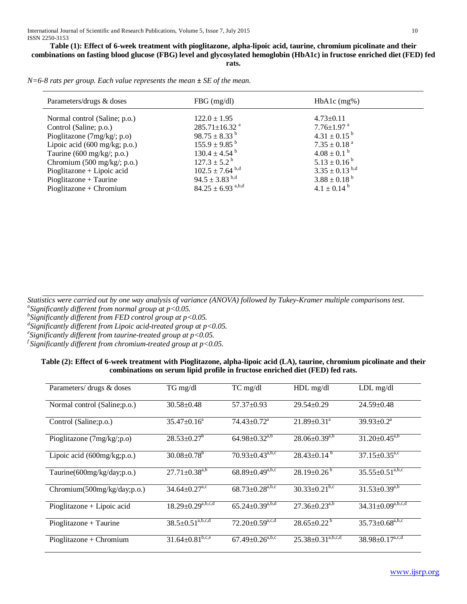**Table (1): Effect of 6-week treatment with pioglitazone, alpha-lipoic acid, taurine, chromium picolinate and their combinations on fasting blood glucose (FBG) level and glycosylated hemoglobin (HbA1c) in fructose enriched diet (FED) fed rats.**

*N=6-8 rats per group. Each value represents the mean ± SE of the mean.*

| Parameters/drugs & doses                       | $FBG$ (mg/dl)                     | $HbA1c$ (mg%)                |
|------------------------------------------------|-----------------------------------|------------------------------|
| Normal control (Saline; p.o.)                  | $122.0 \pm 1.95$                  | $4.73 \pm 0.11$              |
| Control (Saline; p.o.)                         | 285.71±16.32 $a$                  | $7.76 \pm 1.97$ <sup>a</sup> |
| Pioglitazone $(7mg/kg, p.o)$                   | $98.75 \pm 8.33^{\mathrm{b}}$     | $4.31 \pm 0.15^{b}$          |
| Lipoic acid $(600 \text{ mg/kg}; \text{p.o.})$ | $155.9 \pm 9.85$ <sup>b</sup>     | $7.35 \pm 0.18$ <sup>a</sup> |
| Taurine $(600 \text{ mg/kg}$ ; p.o.)           | $130.4 \pm 4.54$ <sup>b</sup>     | $4.08 \pm 0.1^{\text{b}}$    |
| Chromium $(500 \text{ mg/kg}; \text{p.o.})$    | $127.3 \pm 5.2^{\mathrm{b}}$      | $5.13 \pm 0.16^{\mathrm{b}}$ |
| $Pioglitazone + Lipoic acid$                   | $102.5 \pm 7.64$ b,d              | $3.35 \pm 0.13^{b,d}$        |
| $Pioglitazone + Taurine$                       | $94.5 \pm 3.83^{b,d}$             | $3.88 \pm 0.18^{b}$          |
| $Pioglitazone + Chromium$                      | $84.25 \pm 6.93$ <sup>a,b,d</sup> | $4.1 \pm 0.14^{b}$           |

*Statistics were carried out by one way analysis of variance (ANOVA) followed by Tukey-Kramer multiple comparisons test. <sup>a</sup> Significantly different from normal group at p<0.05.*

*b Significantly different from FED control group at p<0.05.*

*d Significantly different from Lipoic acid-treated group at p<0.05. <sup>e</sup> Significantly different from taurine-treated group at p<0.05.*

*f Significantly different from chromium-treated group at p<0.05.*

## **Table (2): Effect of 6-week treatment with Pioglitazone, alpha-lipoic acid (LA), taurine, chromium picolinate and their combinations on serum lipid profile in fructose enriched diet (FED) fed rats.**

| Parameters/ drugs & doses      | $TG$ mg/dl                      | TC mg/dl                            | HDL mg/dl                     | $LDL$ mg/dl                         |
|--------------------------------|---------------------------------|-------------------------------------|-------------------------------|-------------------------------------|
| Normal control (Saline; p.o.)  | $30.58 \pm 0.48$                | $57.37 \pm 0.93$                    | $29.54 \pm 0.29$              | $24.59 \pm 0.48$                    |
| Control (Saline; p.o.)         | $35.47 \pm 0.16^a$              | $74.43 \pm 0.72$ <sup>a</sup>       | $21.89 \pm 0.31$ <sup>a</sup> | $39.93 \pm 0.2^{\text{a}}$          |
| Pioglitazone (7mg/kg/;p.o)     | $28.53 \pm 0.27^b$              | $64.98 \pm 0.32^{a,b}$              | $28.06 \pm 0.39^{a,b}$        | $31.20 \pm 0.45^{a,b}$              |
| Lipoic acid $(600mg/kg;p.o.)$  | $30.08 \pm 0.78$ <sup>b</sup>   | $70.93 \pm 0.43^{a,b,c}$            | $28.43 \pm 0.14^b$            | $37.15 \pm 0.35^{\text{a,c}}$       |
| Taurine(600mg/kg/day;p.o.)     | $27.71 \pm 0.38^{a,b}$          | $68.89 \pm 0.49^{a,b,c}$            | $28.19 \pm 0.26^{\circ}$      | $35.55 \pm 0.51^{a,b,c}$            |
| Chromium $(500mg/kg/day;p.o.)$ | $34.64 \pm 0.27$ <sup>a,c</sup> | $68.73 \pm 0.28$ <sup>a,b,c</sup>   | $30.33 \pm 0.21^{b,c}$        | $31.53 \pm 0.39^{a,b}$              |
| $Pioglitazone + Lipoic acid$   | $18.29 \pm 0.29^{a,b,c,d}$      | $65.24 \pm 0.39^{a,b,d}$            | $27.36 \pm 0.23^{a,b}$        | $34.31 \pm 0.09^{a,b,c,d}$          |
| $Pioglitazone + Taurine$       | $38.5 \pm 0.51^{a,b,c,d}$       | $72.20 \pm 0.59^{a,\overline{c,d}}$ | $28.65 \pm 0.22^{\mathrm{b}}$ | $35.73 \pm 0.68^{a,b,c}$            |
| Pioglitazone + Chromium        | $31.64 \pm 0.81^{b,c,e}$        | $67.49 \pm 0.26^{a,b,c}$            | $25.38 \pm 0.31^{a,b,c,d}$    | $38.98 \pm 0.17^{a,\overline{c,d}}$ |